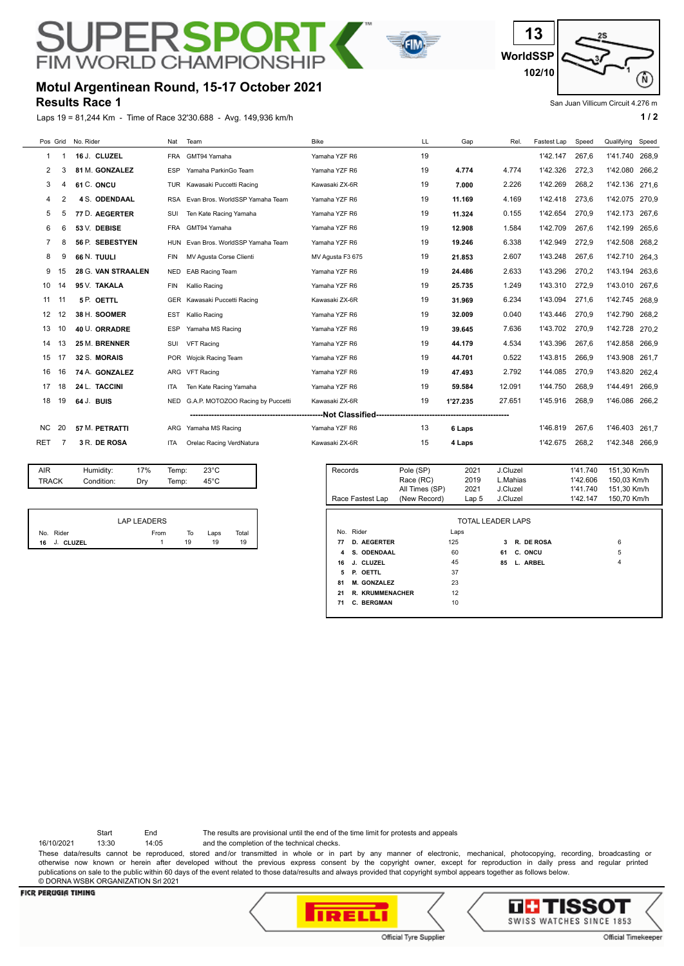# РF RSP **FIM WORLD CHAMPION**





#### San Juan Villicum Circuit 4.276 m

### **Results Race 1 Motul Argentinean Round, 15-17 October 2021**

Laps 19 = 81,244 Km - Time of Race 32'30.688 - Avg. 149,936 km/h **1 and 2 1 and 2 1 a 1 a 1 a 1 a 1 a 1 a 1 a 1 a 1 a 1 a 1 a 1 a 1 a 1 a 1 a 1 a 1 a 1 a 1 a 1 a 1 a 1 a 1 a** 

| Pos Grid  |    | No. Rider            | Nat        | Team                              | <b>Bike</b>      | LL | Gap      | Rel.   | Fastest Lap | Speed | Qualifying | Speed |
|-----------|----|----------------------|------------|-----------------------------------|------------------|----|----------|--------|-------------|-------|------------|-------|
|           |    | 16 J. CLUZEL         | FRA        | GMT94 Yamaha                      | Yamaha YZF R6    | 19 |          |        | 1'42.147    | 267.6 | 1'41.740   | 268,9 |
| 2         | 3  | 81 M. GONZALEZ       | ESP        | Yamaha ParkinGo Team              | Yamaha YZF R6    | 19 | 4.774    | 4.774  | 1'42.326    | 272,3 | 1'42.080   | 266,2 |
| 3         |    | 61 C. ONCU           | <b>TUR</b> | Kawasaki Puccetti Racing          | Kawasaki ZX-6R   | 19 | 7.000    | 2.226  | 1'42.269    | 268.2 | 1'42.136   | 271.6 |
| 4         | 2  | <b>4 S. ODENDAAL</b> | RSA        | Evan Bros, WorldSSP Yamaha Team   | Yamaha YZF R6    | 19 | 11.169   | 4.169  | 1'42.418    | 273.6 | 1'42.075   | 270.9 |
| 5         | 5  | 77 D. AEGERTER       | SUI        | Ten Kate Racing Yamaha            | Yamaha YZF R6    | 19 | 11.324   | 0.155  | 1'42.654    | 270,9 | 1'42.173   | 267,6 |
| 6         | 6  | 53 V. DEBISE         | <b>FRA</b> | GMT94 Yamaha                      | Yamaha YZF R6    | 19 | 12.908   | 1.584  | 1'42.709    | 267.6 | 1'42.199   | 265.6 |
|           | 8  | 56 P. SEBESTYEN      | HUN        | Evan Bros, WorldSSP Yamaha Team   | Yamaha YZF R6    | 19 | 19.246   | 6.338  | 1'42.949    | 272.9 | 1'42.508   | 268,2 |
| 8         | 9  | 66 N. TUULI          | <b>FIN</b> | MV Agusta Corse Clienti           | MV Agusta F3 675 | 19 | 21.853   | 2.607  | 1'43.248    | 267.6 | 1'42.710   | 264,3 |
| 9         | 15 | 28 G. VAN STRAALEN   | <b>NED</b> | <b>EAB Racing Team</b>            | Yamaha YZF R6    | 19 | 24.486   | 2.633  | 1'43.296    | 270,2 | 1'43.194   | 263,6 |
| 10        | 14 | 95 V. TAKALA         | <b>FIN</b> | Kallio Racing                     | Yamaha YZF R6    | 19 | 25.735   | 1.249  | 1'43.310    | 272,9 | 1'43.010   | 267.6 |
| 11        | 11 | 5 P. OETTL           | <b>GER</b> | Kawasaki Puccetti Racing          | Kawasaki ZX-6R   | 19 | 31.969   | 6.234  | 1'43.094    | 271.6 | 1'42.745   | 268,9 |
| 12        | 12 | 38 H. SOOMER         | <b>EST</b> | Kallio Racing                     | Yamaha YZF R6    | 19 | 32.009   | 0.040  | 1'43.446    | 270,9 | 1'42.790   | 268.2 |
| 13        | 10 | 40 U. ORRADRE        | <b>ESP</b> | Yamaha MS Racing                  | Yamaha YZF R6    | 19 | 39.645   | 7.636  | 1'43.702    | 270.9 | 1'42.728   | 270,2 |
| 14        | 13 | 25 M. BRENNER        | SUI        | <b>VFT Racing</b>                 | Yamaha YZF R6    | 19 | 44.179   | 4.534  | 1'43.396    | 267,6 | 1'42.858   | 266.9 |
| 15        | 17 | 32 S. MORAIS         |            | POR Wojcik Racing Team            | Yamaha YZF R6    | 19 | 44.701   | 0.522  | 1'43.815    | 266.9 | 1'43.908   | 261.7 |
| 16        | 16 | 74 A. GONZALEZ       | <b>ARG</b> | <b>VFT Racing</b>                 | Yamaha YZF R6    | 19 | 47.493   | 2.792  | 1'44.085    | 270,9 | 1'43.820   | 262.4 |
| 17        | 18 | 24 L. TACCINI        | ITA        | Ten Kate Racing Yamaha            | Yamaha YZF R6    | 19 | 59.584   | 12.091 | 1'44.750    | 268.9 | 1'44.491   | 266,9 |
| 18        | 19 | 64 J. BUIS           | <b>NED</b> | G.A.P. MOTOZOO Racing by Puccetti | Kawasaki ZX-6R   | 19 | 1'27.235 | 27.651 | 1'45.916    | 268,9 | 1'46.086   | 266,2 |
|           |    |                      |            |                                   |                  |    |          |        |             |       |            |       |
| <b>NC</b> | 20 | 57 M. PETRATTI       | ARG        | Yamaha MS Racing                  | Yamaha YZF R6    | 13 | 6 Laps   |        | 1'46.819    | 267.6 | 1'46,403   | 261.7 |
| RET       | 7  | 3 R. DE ROSA         | <b>ITA</b> | Orelac Racing VerdNatura          | Kawasaki ZX-6R   | 15 | 4 Laps   |        | 1'42.675    | 268,2 | 1'42.348   | 266,9 |

| AIR   | Humidity:  | 17% | Temp: | $23^{\circ}$ C |  |
|-------|------------|-----|-------|----------------|--|
| TRACK | Condition: | Drv | Temp: | $45^{\circ}$ C |  |
|       |            |     |       |                |  |

|              | <b>LAP LEADERS</b> |    |      |       |
|--------------|--------------------|----|------|-------|
| No. Rider    | From               | To | Laps | Total |
| 16 J. CLUZEL |                    | 19 | 19   | 19    |

| Records | Race Fastest Lap   | Pole (SP)<br>Race (RC)<br>All Times (SP)<br>(New Record) | 2021<br>2019<br>2021<br>Lap <sub>5</sub> | J.Cluzel<br>J.Cluzel<br>J.Cluzel | L.Mahias   | 1'41.740<br>1'42.606<br>1'41.740<br>1'42.147 | 151,30 Km/h<br>150,03 Km/h<br>151.30 Km/h<br>150,70 Km/h |
|---------|--------------------|----------------------------------------------------------|------------------------------------------|----------------------------------|------------|----------------------------------------------|----------------------------------------------------------|
|         |                    |                                                          | TOTAL LEADER LAPS                        |                                  |            |                                              |                                                          |
|         | No. Rider          |                                                          | Laps                                     |                                  |            |                                              |                                                          |
| 77      | <b>D. AEGERTER</b> |                                                          | 125                                      | 3                                | R. DE ROSA |                                              | 6                                                        |
| 4       | S. ODENDAAL        |                                                          | 60                                       | 61                               | C. ONCU    |                                              | 5                                                        |
| 16      | J. CLUZEL          |                                                          | 45                                       | 85                               | L. ARBEL   |                                              | 4                                                        |
| 5       | P. OETTL           |                                                          | 37                                       |                                  |            |                                              |                                                          |
| 81      | <b>M. GONZALEZ</b> |                                                          | 23                                       |                                  |            |                                              |                                                          |
| 21      | R. KRUMMENACHER    |                                                          | 12                                       |                                  |            |                                              |                                                          |
| 71      | <b>C. BERGMAN</b>  |                                                          | 10                                       |                                  |            |                                              |                                                          |
|         |                    |                                                          |                                          |                                  |            |                                              |                                                          |

Start End The results are provisional until the end of the time limit for protests and appeals

16/10/2021 13:30 14:05 and the completion of the technical checks.

These data/results cannot be reproduced, stored and/or transmitted in whole or in part by any manner of electronic, mechanical, photocopying, recording, broadcasting or otherwise now known or herein after developed without the previous express consent by the copyright owner, except for reproduction in daily press and regular printed publications on sale to the public within 60 days of the event related to those data/results and always provided that copyright symbol appears together as follows below. © DORNA WSBK ORGANIZATION Srl 2021

#### **FICR PERUGIA TIMING**